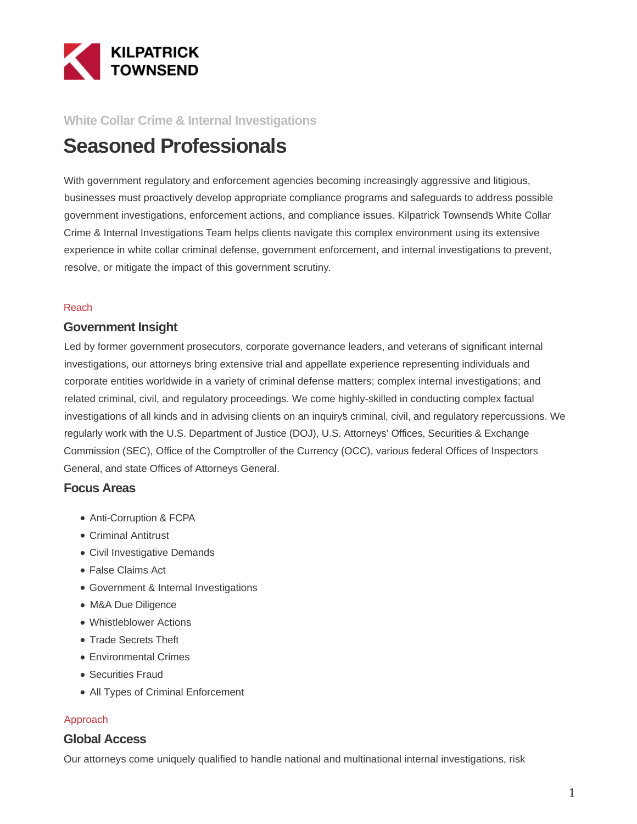

## **White Collar Crime & Internal Investigations**

# **Seasoned Professionals**

With government regulatory and enforcement agencies becoming increasingly aggressive and litigious, businesses must proactively develop appropriate compliance programs and safeguards to address possible government investigations, enforcement actions, and compliance issues. Kilpatrick Townsend's White Collar Crime & Internal Investigations Team helps clients navigate this complex environment using its extensive experience in white collar criminal defense, government enforcement, and internal investigations to prevent, resolve, or mitigate the impact of this government scrutiny.

#### Reach

## **Government Insight**

Led by former government prosecutors, corporate governance leaders, and veterans of significant internal investigations, our attorneys bring extensive trial and appellate experience representing individuals and corporate entities worldwide in a variety of criminal defense matters; complex internal investigations; and related criminal, civil, and regulatory proceedings. We come highly-skilled in conducting complex factual investigations of all kinds and in advising clients on an inquiry's criminal, civil, and regulatory repercussions. We regularly work with the U.S. Department of Justice (DOJ), U.S. Attorneys' Offices, Securities & Exchange Commission (SEC), Office of the Comptroller of the Currency (OCC), various federal Offices of Inspectors General, and state Offices of Attorneys General.

## **Focus Areas**

- Anti-Corruption & FCPA
- Criminal Antitrust
- Civil Investigative Demands
- False Claims Act
- Government & Internal Investigations
- M&A Due Diligence
- Whistleblower Actions
- Trade Secrets Theft
- Environmental Crimes
- Securities Fraud
- All Types of Criminal Enforcement

#### Approach

#### **Global Access**

Our attorneys come uniquely qualified to handle national and multinational internal investigations, risk